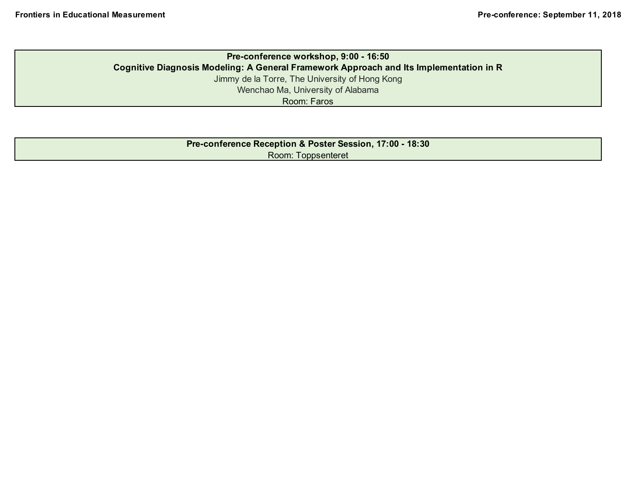## **Pre-conference workshop, 9:00 - 16:50 Cognitive Diagnosis Modeling: A General Framework Approach and Its Implementation in R** Jimmy de la Torre, The University of Hong Kong Wenchao Ma, University of Alabama Room: Faros

| Pre-conference Reception & Poster Session, 17:00 - 18:30 |
|----------------------------------------------------------|
| Room: Toppsenteret                                       |
|                                                          |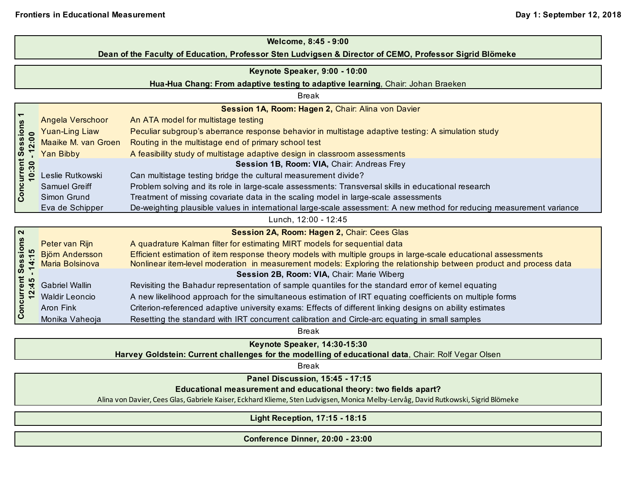| Welcome, 8:45 - 9:00                                                                                    |                                                                                 |                                                                                                                       |  |  |  |  |
|---------------------------------------------------------------------------------------------------------|---------------------------------------------------------------------------------|-----------------------------------------------------------------------------------------------------------------------|--|--|--|--|
| Dean of the Faculty of Education, Professor Sten Ludvigsen & Director of CEMO, Professor Sigrid Blömeke |                                                                                 |                                                                                                                       |  |  |  |  |
| Keynote Speaker, 9:00 - 10:00                                                                           |                                                                                 |                                                                                                                       |  |  |  |  |
|                                                                                                         |                                                                                 |                                                                                                                       |  |  |  |  |
|                                                                                                         | Hua-Hua Chang: From adaptive testing to adaptive learning, Chair: Johan Braeken |                                                                                                                       |  |  |  |  |
| <b>Break</b>                                                                                            |                                                                                 |                                                                                                                       |  |  |  |  |
|                                                                                                         |                                                                                 | Session 1A, Room: Hagen 2, Chair: Alina von Davier<br>An ATA model for multistage testing                             |  |  |  |  |
| Concurrent Sessions                                                                                     | Angela Verschoor                                                                |                                                                                                                       |  |  |  |  |
|                                                                                                         | <b>Yuan-Ling Liaw</b>                                                           | Peculiar subgroup's aberrance response behavior in multistage adaptive testing: A simulation study                    |  |  |  |  |
| 12:00                                                                                                   | Maaike M. van Groen                                                             | Routing in the multistage end of primary school test                                                                  |  |  |  |  |
|                                                                                                         | <b>Yan Bibby</b>                                                                | A feasibility study of multistage adaptive design in classroom assessments                                            |  |  |  |  |
| 10:30                                                                                                   |                                                                                 | Session 1B, Room: VIA, Chair: Andreas Frey                                                                            |  |  |  |  |
|                                                                                                         | Leslie Rutkowski                                                                | Can multistage testing bridge the cultural measurement divide?                                                        |  |  |  |  |
|                                                                                                         | <b>Samuel Greiff</b>                                                            | Problem solving and its role in large-scale assessments: Transversal skills in educational research                   |  |  |  |  |
|                                                                                                         | Simon Grund                                                                     | Treatment of missing covariate data in the scaling model in large-scale assessments                                   |  |  |  |  |
|                                                                                                         | Eva de Schipper                                                                 | De-weighting plausible values in international large-scale assessment: A new method for reducing measurement variance |  |  |  |  |
|                                                                                                         |                                                                                 | Lunch, 12:00 - 12:45                                                                                                  |  |  |  |  |
| $\mathbf{\Omega}$                                                                                       |                                                                                 | Session 2A, Room: Hagen 2, Chair: Cees Glas                                                                           |  |  |  |  |
| Concurrent Sessions                                                                                     | Peter van Rijn                                                                  | A quadrature Kalman filter for estimating MIRT models for sequential data                                             |  |  |  |  |
| 5                                                                                                       | <b>Björn Andersson</b>                                                          | Efficient estimation of item response theory models with multiple groups in large-scale educational assessments       |  |  |  |  |
| $\overline{1}$                                                                                          | Maria Bolsinova                                                                 | Nonlinear item-level moderation in measurement models: Exploring the relationship between product and process data    |  |  |  |  |
| <b>40</b>                                                                                               |                                                                                 | Session 2B, Room: VIA, Chair: Marie Wiberg                                                                            |  |  |  |  |
| 4                                                                                                       | <b>Gabriel Wallin</b>                                                           | Revisiting the Bahadur representation of sample quantiles for the standard error of kernel equating                   |  |  |  |  |
| 12                                                                                                      | <b>Waldir Leoncio</b>                                                           | A new likelihood approach for the simultaneous estimation of IRT equating coefficients on multiple forms              |  |  |  |  |
|                                                                                                         | Aron Fink                                                                       | Criterion-referenced adaptive university exams: Effects of different linking designs on ability estimates             |  |  |  |  |
|                                                                                                         | Monika Vaheoja                                                                  | Resetting the standard with IRT concurrent calibration and Circle-arc equating in small samples                       |  |  |  |  |
|                                                                                                         |                                                                                 | <b>Break</b>                                                                                                          |  |  |  |  |
|                                                                                                         |                                                                                 | Keynote Speaker, 14:30-15:30                                                                                          |  |  |  |  |
| Harvey Goldstein: Current challenges for the modelling of educational data, Chair: Rolf Vegar Olsen     |                                                                                 |                                                                                                                       |  |  |  |  |
|                                                                                                         |                                                                                 |                                                                                                                       |  |  |  |  |
|                                                                                                         |                                                                                 | <b>Break</b><br><b>Densi Disso</b><br>$\mathcal{L}$ , and a set of $\mathcal{L}$ and a set of $\mathcal{L}$           |  |  |  |  |

 **Panel Discussion, 15:45 - 17:15**

**Educational measurement and educational theory: two fields apart?**

Alina von Davier, Cees Glas, Gabriele Kaiser, Eckhard Klieme, Sten Ludvigsen, Monica Melby-Lervåg, David Rutkowski, Sigrid Blömeke

**Light Reception, 17:15 - 18:15**

**Conference Dinner, 20:00 - 23:00**